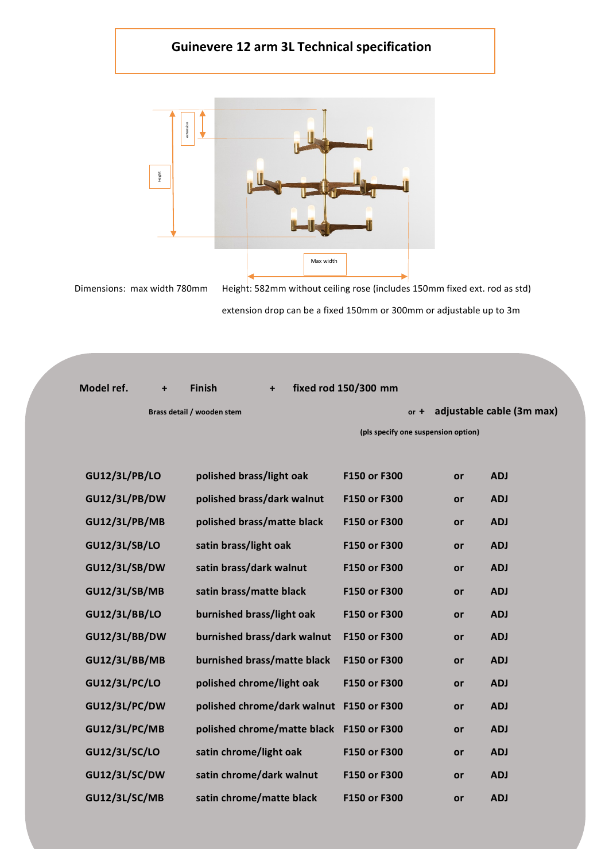## **Guinevere 12 arm 3L Technical specification**



Dimensions: max width 780mm Height: 582mm without ceiling rose (includes 150mm fixed ext. rod as std)

| Model ref. | $\ddot{}$ | <b>Finish</b>                                                                                                                                                                                                                                                                                                                                          | $\ddot{}$                  |                                                                                                                                                                                                                                                     |                                                                                                                                                                                                                                        |                                               |
|------------|-----------|--------------------------------------------------------------------------------------------------------------------------------------------------------------------------------------------------------------------------------------------------------------------------------------------------------------------------------------------------------|----------------------------|-----------------------------------------------------------------------------------------------------------------------------------------------------------------------------------------------------------------------------------------------------|----------------------------------------------------------------------------------------------------------------------------------------------------------------------------------------------------------------------------------------|-----------------------------------------------|
|            |           |                                                                                                                                                                                                                                                                                                                                                        |                            |                                                                                                                                                                                                                                                     |                                                                                                                                                                                                                                        | adjustable cable (3m max)                     |
|            |           |                                                                                                                                                                                                                                                                                                                                                        |                            |                                                                                                                                                                                                                                                     |                                                                                                                                                                                                                                        |                                               |
|            |           |                                                                                                                                                                                                                                                                                                                                                        |                            |                                                                                                                                                                                                                                                     |                                                                                                                                                                                                                                        |                                               |
|            |           |                                                                                                                                                                                                                                                                                                                                                        |                            | F150 or F300                                                                                                                                                                                                                                        | or                                                                                                                                                                                                                                     | <b>ADJ</b>                                    |
|            |           |                                                                                                                                                                                                                                                                                                                                                        |                            | F150 or F300                                                                                                                                                                                                                                        | or                                                                                                                                                                                                                                     | <b>ADJ</b>                                    |
|            |           |                                                                                                                                                                                                                                                                                                                                                        |                            | F150 or F300                                                                                                                                                                                                                                        | or                                                                                                                                                                                                                                     | <b>ADJ</b>                                    |
|            |           |                                                                                                                                                                                                                                                                                                                                                        |                            | F150 or F300                                                                                                                                                                                                                                        | or                                                                                                                                                                                                                                     | <b>ADJ</b>                                    |
|            |           |                                                                                                                                                                                                                                                                                                                                                        |                            | F150 or F300                                                                                                                                                                                                                                        | or                                                                                                                                                                                                                                     | <b>ADJ</b>                                    |
|            |           |                                                                                                                                                                                                                                                                                                                                                        |                            | F150 or F300                                                                                                                                                                                                                                        | or                                                                                                                                                                                                                                     | <b>ADJ</b>                                    |
|            |           |                                                                                                                                                                                                                                                                                                                                                        |                            | F150 or F300                                                                                                                                                                                                                                        | or                                                                                                                                                                                                                                     | <b>ADJ</b>                                    |
|            |           |                                                                                                                                                                                                                                                                                                                                                        |                            | F150 or F300                                                                                                                                                                                                                                        | or                                                                                                                                                                                                                                     | <b>ADJ</b>                                    |
|            |           |                                                                                                                                                                                                                                                                                                                                                        |                            | F150 or F300                                                                                                                                                                                                                                        | or                                                                                                                                                                                                                                     | <b>ADJ</b>                                    |
|            |           |                                                                                                                                                                                                                                                                                                                                                        |                            | F150 or F300                                                                                                                                                                                                                                        | or                                                                                                                                                                                                                                     | <b>ADJ</b>                                    |
|            |           |                                                                                                                                                                                                                                                                                                                                                        |                            |                                                                                                                                                                                                                                                     | or                                                                                                                                                                                                                                     | <b>ADJ</b>                                    |
|            |           |                                                                                                                                                                                                                                                                                                                                                        |                            |                                                                                                                                                                                                                                                     | or                                                                                                                                                                                                                                     | <b>ADJ</b>                                    |
|            |           |                                                                                                                                                                                                                                                                                                                                                        |                            | F150 or F300                                                                                                                                                                                                                                        | or                                                                                                                                                                                                                                     | <b>ADJ</b>                                    |
|            |           |                                                                                                                                                                                                                                                                                                                                                        |                            | F150 or F300                                                                                                                                                                                                                                        | or                                                                                                                                                                                                                                     | <b>ADJ</b>                                    |
|            |           |                                                                                                                                                                                                                                                                                                                                                        |                            | F150 or F300                                                                                                                                                                                                                                        | or                                                                                                                                                                                                                                     | <b>ADJ</b>                                    |
|            |           | <b>GU12/3L/PB/LO</b><br><b>GU12/3L/PB/DW</b><br><b>GU12/3L/PB/MB</b><br><b>GU12/3L/SB/LO</b><br><b>GU12/3L/SB/DW</b><br><b>GU12/3L/SB/MB</b><br><b>GU12/3L/BB/LO</b><br><b>GU12/3L/BB/DW</b><br><b>GU12/3L/BB/MB</b><br><b>GU12/3L/PC/LO</b><br>GU12/3L/PC/DW<br><b>GU12/3L/PC/MB</b><br><b>GU12/3L/SC/LO</b><br><b>GU12/3L/SC/DW</b><br>GU12/3L/SC/MB | Brass detail / wooden stem | polished brass/light oak<br>satin brass/light oak<br>satin brass/dark walnut<br>satin brass/matte black<br>burnished brass/light oak<br>polished chrome/light oak<br>satin chrome/light oak<br>satin chrome/dark walnut<br>satin chrome/matte black | fixed rod 150/300 mm<br>polished brass/dark walnut<br>polished brass/matte black<br>burnished brass/dark walnut<br>burnished brass/matte black<br>polished chrome/dark walnut F150 or F300<br>polished chrome/matte black F150 or F300 | $or +$<br>(pls specify one suspension option) |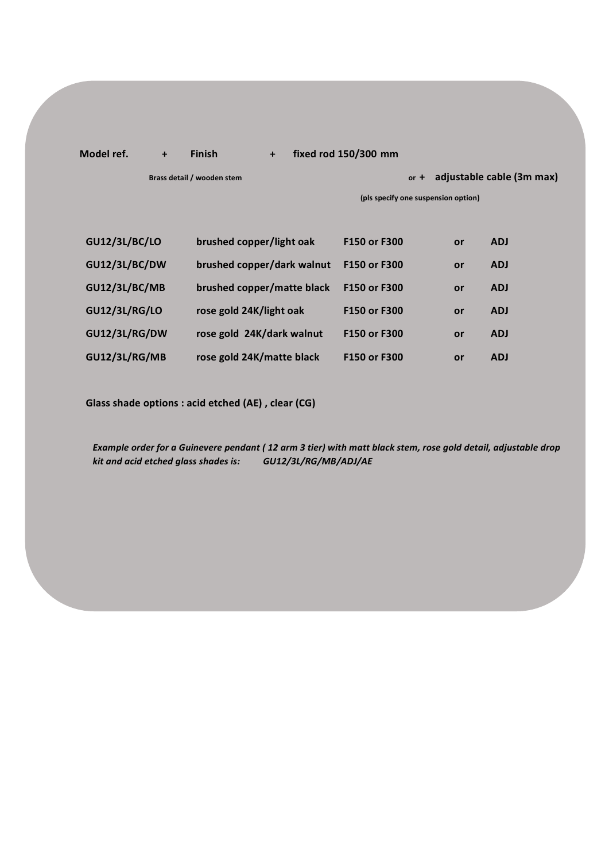## **Model ref. + Finish + fixed rod 150/300 mm**

**Brass detail / wooden stem and in the state of the state of the state of the adjustable cable (3m max)** 

**(pls specify one suspension option)**

| <b>GU12/3L/BC/LO</b> | brushed copper/light oak   | F150 or F300 | or | <b>ADJ</b> |
|----------------------|----------------------------|--------------|----|------------|
| <b>GU12/3L/BC/DW</b> | brushed copper/dark walnut | F150 or F300 | or | <b>ADJ</b> |
| <b>GU12/3L/BC/MB</b> | brushed copper/matte black | F150 or F300 | or | <b>ADJ</b> |
| <b>GU12/3L/RG/LO</b> | rose gold 24K/light oak    | F150 or F300 | or | <b>ADJ</b> |
| <b>GU12/3L/RG/DW</b> | rose gold 24K/dark walnut  | F150 or F300 | or | <b>ADJ</b> |
| <b>GU12/3L/RG/MB</b> | rose gold 24K/matte black  | F150 or F300 | or | <b>ADJ</b> |

**Glass shade options : acid etched (AE) , clear (CG)**

*Example order for a Guinevere pendant ( 12 arm 3 tier) with matt black stem, rose gold detail, adjustable drop kit and acid etched glass shades is: GU12/3L/RG/MB/ADJ/AE*